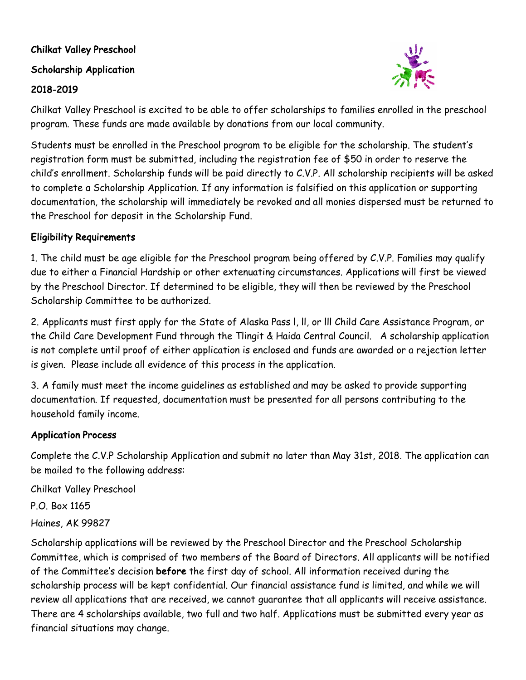# Chilkat Valley Preschool

#### Scholarship Application

#### 2018-2019



Chilkat Valley Preschool is excited to be able to offer scholarships to families enrolled in the preschool program. These funds are made available by donations from our local community.

Students must be enrolled in the Preschool program to be eligible for the scholarship. The student's registration form must be submitted, including the registration fee of \$50 in order to reserve the child's enrollment. Scholarship funds will be paid directly to C.V.P. All scholarship recipients will be asked to complete a Scholarship Application. If any information is falsified on this application or supporting documentation, the scholarship will immediately be revoked and all monies dispersed must be returned to the Preschool for deposit in the Scholarship Fund.

## Eligibility Requirements

1. The child must be age eligible for the Preschool program being offered by C.V.P. Families may qualify due to either a Financial Hardship or other extenuating circumstances. Applications will first be viewed by the Preschool Director. If determined to be eligible, they will then be reviewed by the Preschool Scholarship Committee to be authorized.

2. Applicants must first apply for the State of Alaska Pass l, ll, or lll Child Care Assistance Program, or the Child Care Development Fund through the Tlingit & Haida Central Council. A scholarship application is not complete until proof of either application is enclosed and funds are awarded or a rejection letter is given. Please include all evidence of this process in the application.

3. A family must meet the income guidelines as established and may be asked to provide supporting documentation. If requested, documentation must be presented for all persons contributing to the household family income.

## Application Process

Complete the C.V.P Scholarship Application and submit no later than May 31st, 2018. The application can be mailed to the following address:

Chilkat Valley Preschool P.O. Box 1165 Haines, AK 99827

Scholarship applications will be reviewed by the Preschool Director and the Preschool Scholarship Committee, which is comprised of two members of the Board of Directors. All applicants will be notified of the Committee's decision before the first day of school. All information received during the scholarship process will be kept confidential. Our financial assistance fund is limited, and while we will review all applications that are received, we cannot guarantee that all applicants will receive assistance. There are 4 scholarships available, two full and two half. Applications must be submitted every year as financial situations may change.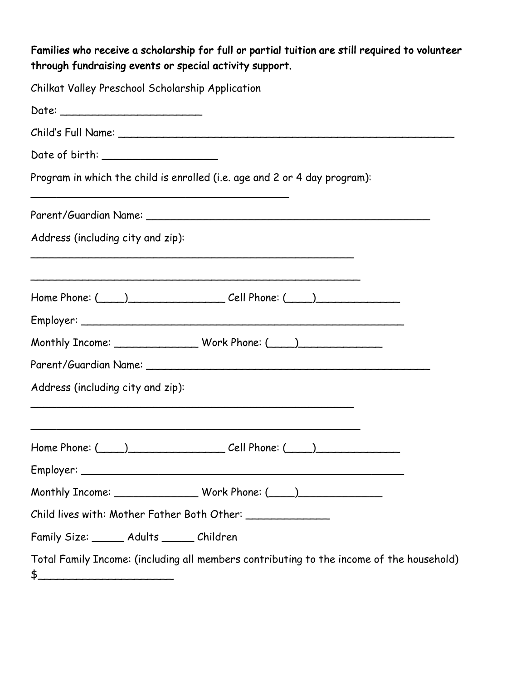# Families who receive a scholarship for full or partial tuition are still required to volunteer through fundraising events or special activity support.

| Chilkat Valley Preschool Scholarship Application                                                          |
|-----------------------------------------------------------------------------------------------------------|
|                                                                                                           |
|                                                                                                           |
|                                                                                                           |
| Program in which the child is enrolled (i.e. age and 2 or 4 day program):                                 |
|                                                                                                           |
| Address (including city and zip):                                                                         |
|                                                                                                           |
|                                                                                                           |
| Monthly Income: ___________________Work Phone: (____)___________________________                          |
|                                                                                                           |
| Address (including city and zip):                                                                         |
| $Home$ Phone: $(\_\_\_)$                                                                                  |
|                                                                                                           |
| Monthly Income: __________________ Work Phone: (____)___________________________                          |
|                                                                                                           |
| Family Size: ______ Adults _____ Children                                                                 |
| Total Family Income: (including all members contributing to the income of the household)<br>$\frac{1}{2}$ |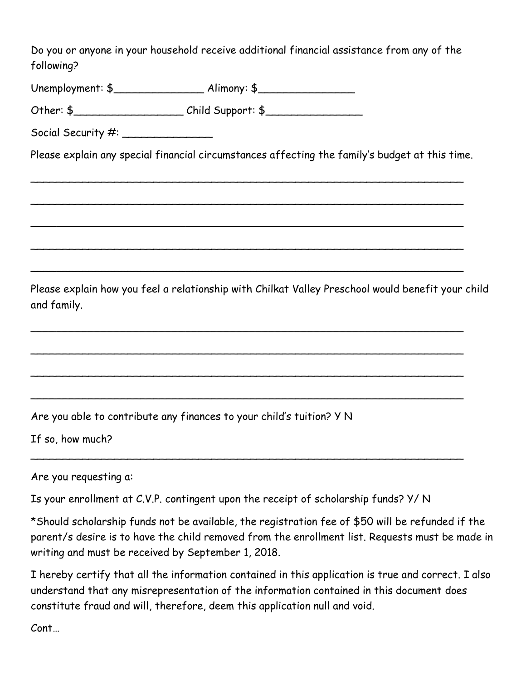Do you or anyone in your household receive additional financial assistance from any of the following?

Unemployment: \$\_\_\_\_\_\_\_\_\_\_\_\_\_\_ Alimony: \$\_\_\_\_\_\_\_\_\_\_\_\_\_\_\_

Other: \$\_\_\_\_\_\_\_\_\_\_\_\_\_\_\_\_\_ Child Support: \$\_\_\_\_\_\_\_\_\_\_\_\_\_\_\_

Social Security #: \_\_\_\_\_\_\_\_\_\_\_\_\_\_

Please explain any special financial circumstances affecting the family's budget at this time.

\_\_\_\_\_\_\_\_\_\_\_\_\_\_\_\_\_\_\_\_\_\_\_\_\_\_\_\_\_\_\_\_\_\_\_\_\_\_\_\_\_\_\_\_\_\_\_\_\_\_\_\_\_\_\_\_\_\_\_\_\_\_\_\_\_\_\_

\_\_\_\_\_\_\_\_\_\_\_\_\_\_\_\_\_\_\_\_\_\_\_\_\_\_\_\_\_\_\_\_\_\_\_\_\_\_\_\_\_\_\_\_\_\_\_\_\_\_\_\_\_\_\_\_\_\_\_\_\_\_\_\_\_\_\_

\_\_\_\_\_\_\_\_\_\_\_\_\_\_\_\_\_\_\_\_\_\_\_\_\_\_\_\_\_\_\_\_\_\_\_\_\_\_\_\_\_\_\_\_\_\_\_\_\_\_\_\_\_\_\_\_\_\_\_\_\_\_\_\_\_\_\_

\_\_\_\_\_\_\_\_\_\_\_\_\_\_\_\_\_\_\_\_\_\_\_\_\_\_\_\_\_\_\_\_\_\_\_\_\_\_\_\_\_\_\_\_\_\_\_\_\_\_\_\_\_\_\_\_\_\_\_\_\_\_\_\_\_\_\_

\_\_\_\_\_\_\_\_\_\_\_\_\_\_\_\_\_\_\_\_\_\_\_\_\_\_\_\_\_\_\_\_\_\_\_\_\_\_\_\_\_\_\_\_\_\_\_\_\_\_\_\_\_\_\_\_\_\_\_\_\_\_\_\_\_\_\_

\_\_\_\_\_\_\_\_\_\_\_\_\_\_\_\_\_\_\_\_\_\_\_\_\_\_\_\_\_\_\_\_\_\_\_\_\_\_\_\_\_\_\_\_\_\_\_\_\_\_\_\_\_\_\_\_\_\_\_\_\_\_\_\_\_\_\_

\_\_\_\_\_\_\_\_\_\_\_\_\_\_\_\_\_\_\_\_\_\_\_\_\_\_\_\_\_\_\_\_\_\_\_\_\_\_\_\_\_\_\_\_\_\_\_\_\_\_\_\_\_\_\_\_\_\_\_\_\_\_\_\_\_\_\_

\_\_\_\_\_\_\_\_\_\_\_\_\_\_\_\_\_\_\_\_\_\_\_\_\_\_\_\_\_\_\_\_\_\_\_\_\_\_\_\_\_\_\_\_\_\_\_\_\_\_\_\_\_\_\_\_\_\_\_\_\_\_\_\_\_\_\_

\_\_\_\_\_\_\_\_\_\_\_\_\_\_\_\_\_\_\_\_\_\_\_\_\_\_\_\_\_\_\_\_\_\_\_\_\_\_\_\_\_\_\_\_\_\_\_\_\_\_\_\_\_\_\_\_\_\_\_\_\_\_\_\_\_\_\_

\_\_\_\_\_\_\_\_\_\_\_\_\_\_\_\_\_\_\_\_\_\_\_\_\_\_\_\_\_\_\_\_\_\_\_\_\_\_\_\_\_\_\_\_\_\_\_\_\_\_\_\_\_\_\_\_\_\_\_\_\_\_\_\_\_\_\_

Please explain how you feel a relationship with Chilkat Valley Preschool would benefit your child and family.

Are you able to contribute any finances to your child's tuition? Y N

If so, how much?

Are you requesting a:

Is your enrollment at C.V.P. contingent upon the receipt of scholarship funds? Y/ N

\*Should scholarship funds not be available, the registration fee of \$50 will be refunded if the parent/s desire is to have the child removed from the enrollment list. Requests must be made in writing and must be received by September 1, 2018.

I hereby certify that all the information contained in this application is true and correct. I also understand that any misrepresentation of the information contained in this document does constitute fraud and will, therefore, deem this application null and void.

Cont…